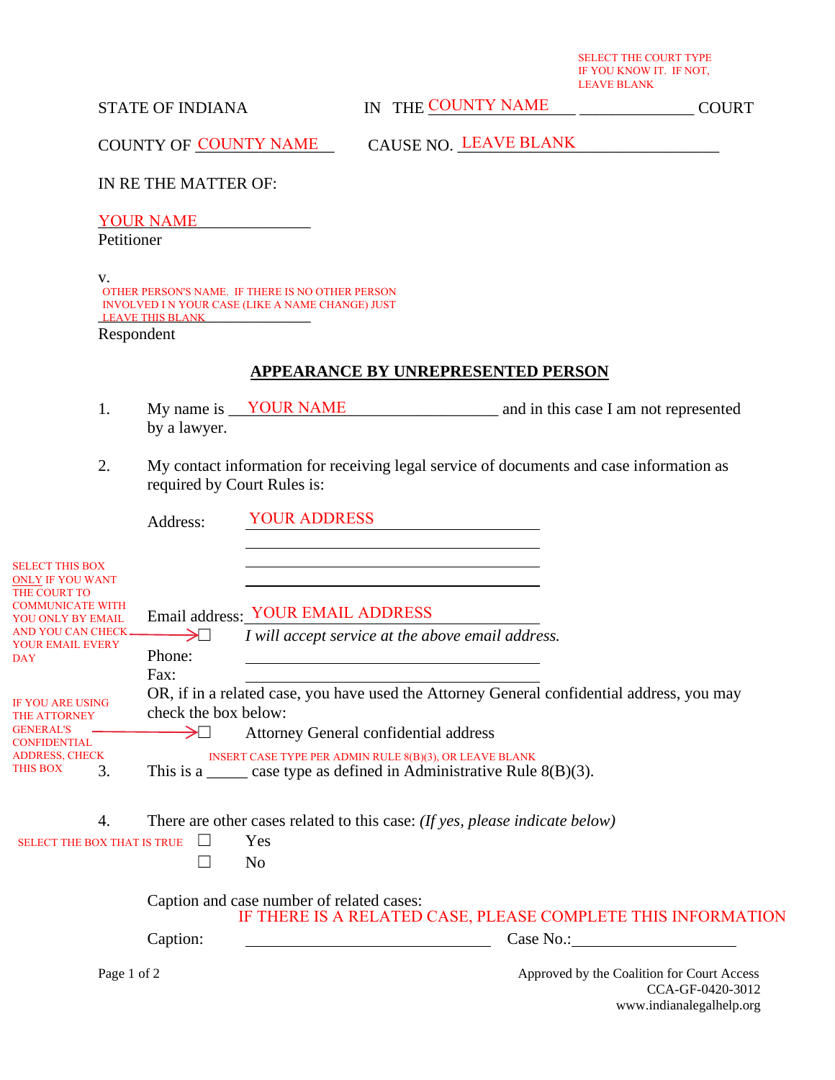SELECT THE COURT TYPE IF YOU KNOW IT. IF NOT, LEAVE BLANK

STATE OF INDIANA THE COUNTY NAME THE COUNTY ON THE COURT

COUNTY OF COUNTY NAME CAUSE NO. LEAVE BLANK

IN RE THE MATTER OF:

YOUR NAME

Petitioner

v. LEAVE THIS BLANK OTHER PERSON'S NAME. IF THERE IS NO OTHER PERSON INVOLVED I N YOUR CASE (LIKE A NAME CHANGE) JUST

Respondent

## **APPEARANCE BY UNREPRESENTED PERSON**

- 1. My name is <u>VOUR NAME</u> and in this case I am not represented by a lawyer.
- 2. My contact information for receiving legal service of documents and case information as required by Court Rules is:

|                                                                                                                                        | Address:               | <b>YOUR ADDRESS</b>                                                                                                                                                              |
|----------------------------------------------------------------------------------------------------------------------------------------|------------------------|----------------------------------------------------------------------------------------------------------------------------------------------------------------------------------|
| <b>SELECT THIS BOX</b><br><b>ONLY IF YOU WANT</b><br>THE COURT TO<br><b>COMMUNICATE WITH</b><br>YOU ONLY BY EMAIL<br>AND YOU CAN CHECK | $\rightarrow$ $\sqcap$ | Email address: YOUR EMAIL ADDRESS<br>I will accept service at the above email address.                                                                                           |
| YOUR EMAIL EVERY<br><b>DAY</b>                                                                                                         | Phone:<br>Fax:         |                                                                                                                                                                                  |
| <b>IF YOU ARE USING</b><br><b>THE ATTORNEY</b>                                                                                         | check the box below:   | OR, if in a related case, you have used the Attorney General confidential address, you may                                                                                       |
| <b>GENERAL'S</b><br><b>CONFIDENTIAL</b><br><b>ADDRESS, CHECK</b><br>THIS BOX<br>3.                                                     | → ⊥                    | Attorney General confidential address<br>INSERT CASE TYPE PER ADMIN RULE 8(B)(3), OR LEAVE BLANK<br>This is a $\frac{1}{2}$ case type as defined in Administrative Rule 8(B)(3). |
| 4.<br><b>SELECT THE BOX THAT IS TRUE</b>                                                                                               |                        | There are other cases related to this case: (If yes, please indicate below)<br>Yes                                                                                               |
|                                                                                                                                        |                        | N <sub>0</sub>                                                                                                                                                                   |
|                                                                                                                                        |                        | Caption and case number of related cases:<br>IF THERE IS A RELATED CASE, PLEASE COMPLETE THIS INFORMATION                                                                        |
|                                                                                                                                        | Caption:               | Case No.:                                                                                                                                                                        |
| Page 1 of 2                                                                                                                            |                        | Approved by the Coalition for Court Access<br>CCA-GF-0420-3012<br>www.indianalegalhelp.org                                                                                       |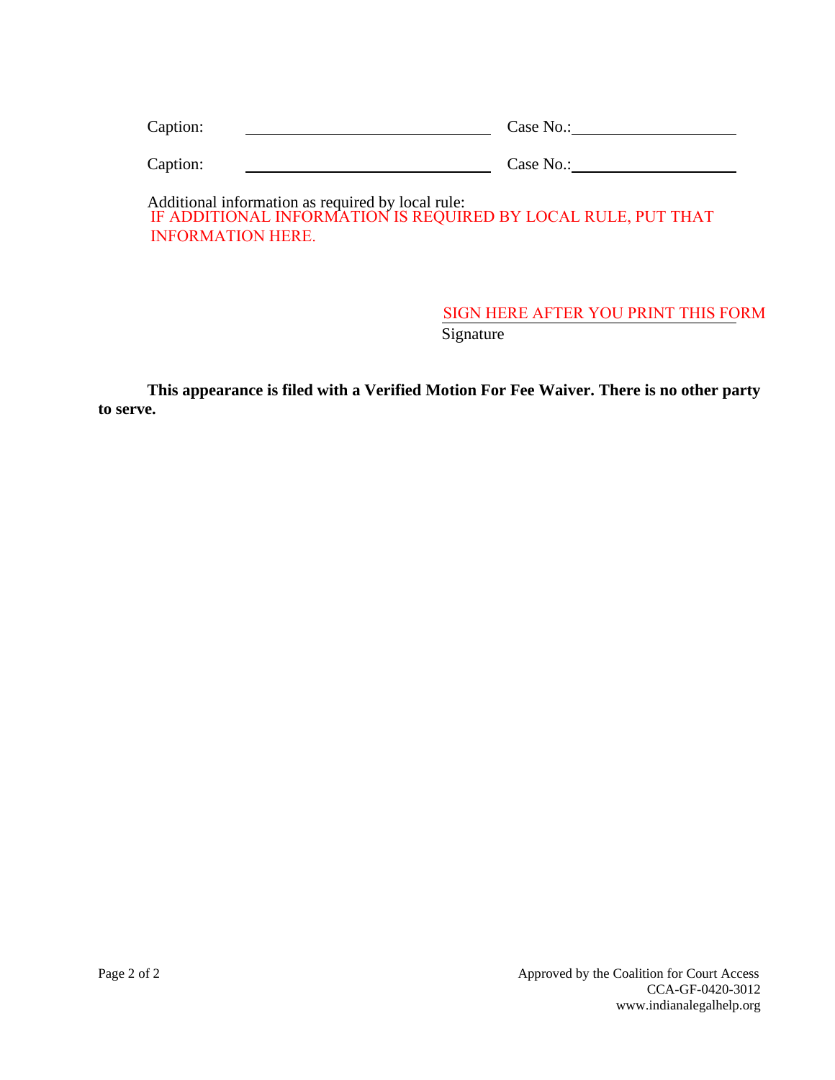| Caption:                                          | Case No.:                                                      |
|---------------------------------------------------|----------------------------------------------------------------|
| Caption:                                          | Case No.:                                                      |
| Additional information as required by local rule: | IE ADDITIONAL INFORMATION IS DEOLIIDED DV LOCAL DUILE DUT TUAT |

IF ADDITIONAL INFORMATION IS REQUIRED BY LOCAL RULE, PUT THAT INFORMATION HERE.

## **Signature** SIGN HERE AFTER YOU PRINT THIS FORM

**This appearance is filed with a Verified Motion For Fee Waiver. There is no other party to serve.**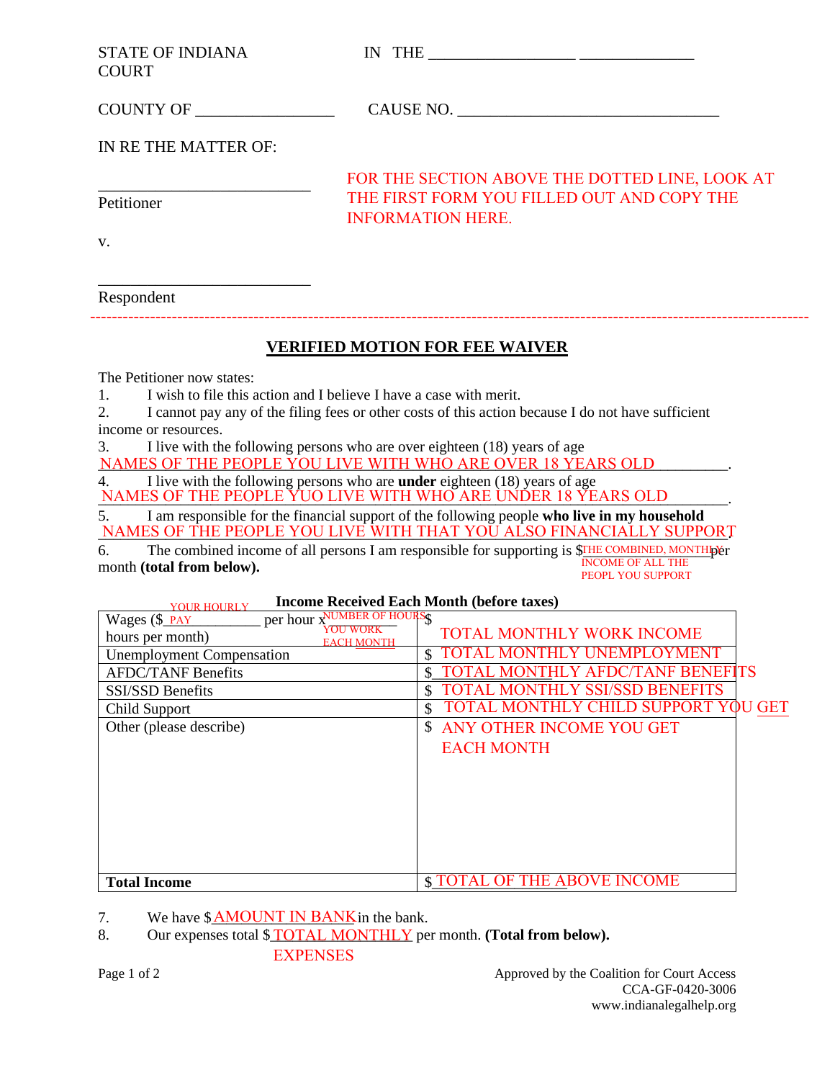| <b>STATE OF INDIANA</b><br><b>COURT</b>                                                                                                                                                                                                                                                                                                                                                                                                                                                                                                                                                                                                                                                                                                                                                                                                                                                                                 | IN THE $\_\_$                                                                                                            |  |  |  |  |
|-------------------------------------------------------------------------------------------------------------------------------------------------------------------------------------------------------------------------------------------------------------------------------------------------------------------------------------------------------------------------------------------------------------------------------------------------------------------------------------------------------------------------------------------------------------------------------------------------------------------------------------------------------------------------------------------------------------------------------------------------------------------------------------------------------------------------------------------------------------------------------------------------------------------------|--------------------------------------------------------------------------------------------------------------------------|--|--|--|--|
|                                                                                                                                                                                                                                                                                                                                                                                                                                                                                                                                                                                                                                                                                                                                                                                                                                                                                                                         |                                                                                                                          |  |  |  |  |
| IN RE THE MATTER OF:                                                                                                                                                                                                                                                                                                                                                                                                                                                                                                                                                                                                                                                                                                                                                                                                                                                                                                    |                                                                                                                          |  |  |  |  |
| Petitioner                                                                                                                                                                                                                                                                                                                                                                                                                                                                                                                                                                                                                                                                                                                                                                                                                                                                                                              | FOR THE SECTION ABOVE THE DOTTED LINE, LOOK AT<br>THE FIRST FORM YOU FILLED OUT AND COPY THE<br><b>INFORMATION HERE.</b> |  |  |  |  |
| V.                                                                                                                                                                                                                                                                                                                                                                                                                                                                                                                                                                                                                                                                                                                                                                                                                                                                                                                      |                                                                                                                          |  |  |  |  |
| Respondent                                                                                                                                                                                                                                                                                                                                                                                                                                                                                                                                                                                                                                                                                                                                                                                                                                                                                                              |                                                                                                                          |  |  |  |  |
|                                                                                                                                                                                                                                                                                                                                                                                                                                                                                                                                                                                                                                                                                                                                                                                                                                                                                                                         | <b>VERIFIED MOTION FOR FEE WAIVER</b>                                                                                    |  |  |  |  |
| The Petitioner now states:<br>I wish to file this action and I believe I have a case with merit.<br>$\mathbf{1}$ .<br>I cannot pay any of the filing fees or other costs of this action because I do not have sufficient<br>2.<br>income or resources.<br>I live with the following persons who are over eighteen (18) years of age<br>3.<br>NAMES OF THE PEOPLE YOU LIVE WITH WHO ARE OVER 18 YEARS OLD .<br>I live with the following persons who are <b>under</b> eighteen (18) years of age<br>4.<br>NAMES OF THE PEOPLE YUO LIVE WITH WHO ARE UNDER 18 YEARS OLD<br>I am responsible for the financial support of the following people who live in my household<br>5.<br>NAMES OF THE PEOPLE YOU LIVE WITH THAT YOU ALSO FINANCIALLY SUPPORT<br>The combined income of all persons I am responsible for supporting is \$THE COMBINED, MONTHIPY FOR ALL THE<br>6.<br>month (total from below).<br>PEOPL YOU SUPPORT |                                                                                                                          |  |  |  |  |
| VOUR HOURLY Income Received Each Month (before taxes)<br>Wages (\$ PAY Per hour XVMBER OF HOURS                                                                                                                                                                                                                                                                                                                                                                                                                                                                                                                                                                                                                                                                                                                                                                                                                         |                                                                                                                          |  |  |  |  |
|                                                                                                                                                                                                                                                                                                                                                                                                                                                                                                                                                                                                                                                                                                                                                                                                                                                                                                                         | <b>TOTAL MONTHLY WORK INCOME</b>                                                                                         |  |  |  |  |
| hours per month)<br><b>EACH MONTH</b>                                                                                                                                                                                                                                                                                                                                                                                                                                                                                                                                                                                                                                                                                                                                                                                                                                                                                   | TOTAL MONTHLY UNEMPLOYMENT                                                                                               |  |  |  |  |
| <b>Unemployment Compensation</b><br><b>AFDC/TANF Benefits</b>                                                                                                                                                                                                                                                                                                                                                                                                                                                                                                                                                                                                                                                                                                                                                                                                                                                           | <b>TOTAL MONTHLY AFDC/TANF BENEFITS</b><br>$\mathcal{S}$                                                                 |  |  |  |  |
| SSI/SSD Benefits                                                                                                                                                                                                                                                                                                                                                                                                                                                                                                                                                                                                                                                                                                                                                                                                                                                                                                        | TOTAL MONTHLY SSI/SSD BENEFITS<br>$\mathcal{S}$                                                                          |  |  |  |  |
| Child Support                                                                                                                                                                                                                                                                                                                                                                                                                                                                                                                                                                                                                                                                                                                                                                                                                                                                                                           | TOTAL MONTHLY CHILD SUPPORT YOU GET                                                                                      |  |  |  |  |
| Other (please describe)                                                                                                                                                                                                                                                                                                                                                                                                                                                                                                                                                                                                                                                                                                                                                                                                                                                                                                 | <b>\$ ANY OTHER INCOME YOU GET</b>                                                                                       |  |  |  |  |
|                                                                                                                                                                                                                                                                                                                                                                                                                                                                                                                                                                                                                                                                                                                                                                                                                                                                                                                         | <b>EACH MONTH</b>                                                                                                        |  |  |  |  |
|                                                                                                                                                                                                                                                                                                                                                                                                                                                                                                                                                                                                                                                                                                                                                                                                                                                                                                                         |                                                                                                                          |  |  |  |  |

Total Income  $\frac{\$ \text{Total} \text{ The } \text{ADove} \text{ INCOMP}}$ 

8. Our expenses total \$**TOTAL MONTHLY** per month. (**Total from below**).

EXPENSES

7. We have  $\frac{\text{M} \text{M} \text{A} \text{N} \text{N}}{N}$  in the bank.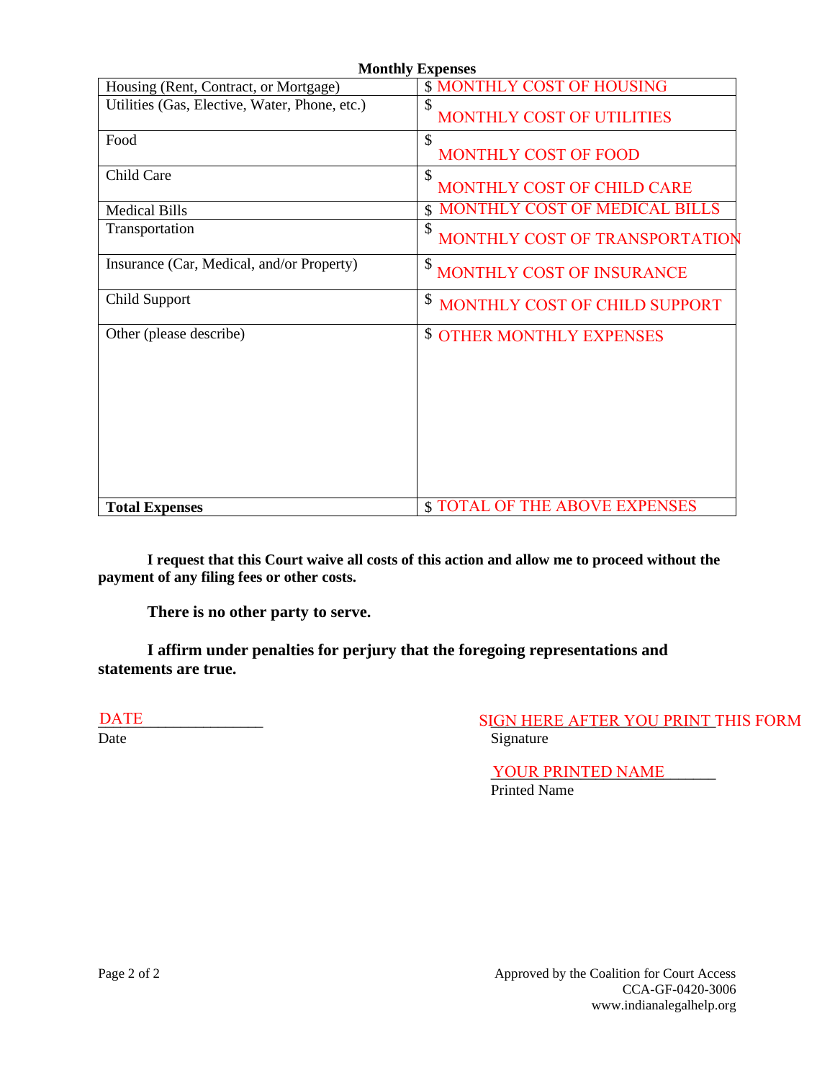| <b>Monthly Expenses</b>                       |                                        |  |  |  |
|-----------------------------------------------|----------------------------------------|--|--|--|
| Housing (Rent, Contract, or Mortgage)         | <b>\$ MONTHLY COST OF HOUSING</b>      |  |  |  |
| Utilities (Gas, Elective, Water, Phone, etc.) | \$<br>MONTHLY COST OF UTILITIES        |  |  |  |
| Food                                          | \$<br><b>MONTHLY COST OF FOOD</b>      |  |  |  |
| Child Care                                    | \$<br>MONTHLY COST OF CHILD CARE       |  |  |  |
| <b>Medical Bills</b>                          | <b>MONTHLY COST OF MEDICAL BILLS</b>   |  |  |  |
| Transportation                                | \$<br>MONTHLY COST OF TRANSPORTATION   |  |  |  |
| Insurance (Car, Medical, and/or Property)     | \$<br><b>MONTHLY COST OF INSURANCE</b> |  |  |  |
| Child Support                                 | \$<br>MONTHLY COST OF CHILD SUPPORT    |  |  |  |
| Other (please describe)                       | <b>\$ OTHER MONTHLY EXPENSES</b>       |  |  |  |
| <b>Total Expenses</b>                         | <b>\$TOTAL OF THE ABOVE EXPENSES</b>   |  |  |  |

**I request that this Court waive all costs of this action and allow me to proceed without the payment of any filing fees or other costs.** 

**There is no other party to serve.** 

**I affirm under penalties for perjury that the foregoing representations and statements are true.**

DATE

\_\_\_\_\_\_\_\_\_\_\_\_\_\_\_\_\_\_\_\_\_\_ \_\_\_\_\_\_\_\_\_\_\_\_\_\_\_\_\_\_\_\_\_\_\_\_\_\_\_\_\_\_ SIGN HERE AFTER YOU PRINT THIS FORM Date Signature

> YOUR PRINTED NAME Printed Name